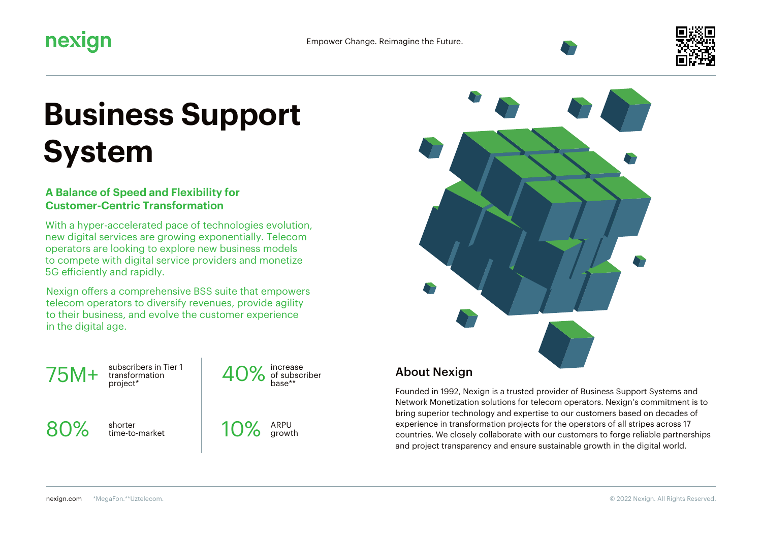

# **Business Support System**

### **A Balance of Speed and Flexibility for Customer-Centric Transformation**

With a hyper-accelerated pace of technologies evolution, new digital services are growing exponentially. Telecom operators are looking to explore new business models to compete with digital service providers and monetize 5G efficiently and rapidly.

Nexign offers a comprehensive BSS suite that empowers telecom operators to diversify revenues, provide agility to their business, and evolve the customer experience in the digital age.

 $75M+$  transform

subscribers in Tier 1

40% increase<br>base\*\*

80% shorter<br>time-to-market





## About Nexign

Founded in 1992, Nexign is a trusted provider of Business Support Systems and Network Monetization solutions for telecom operators. Nexign's commitment is to bring superior technology and expertise to our customers based on decades of experience in transformation projects for the operators of all stripes across 17 countries. We closely collaborate with our customers to forge reliable partnerships and project transparency and ensure sustainable growth in the digital world.